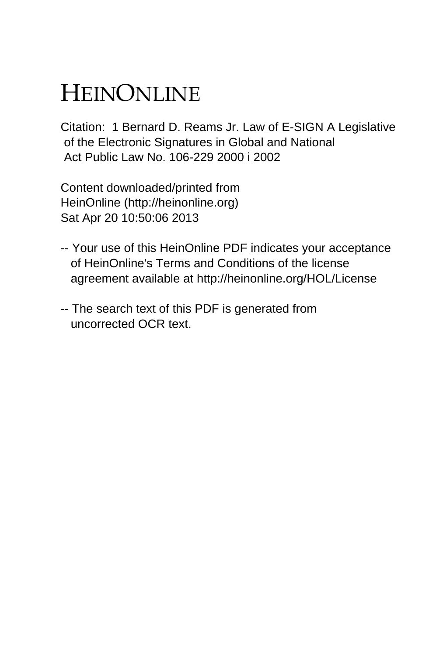## HEINONLINE

Citation: 1 Bernard D. Reams Jr. Law of E-SIGN A Legislative of the Electronic Signatures in Global and National Act Public Law No. 106-229 2000 i 2002

Content downloaded/printed from HeinOnline (http://heinonline.org) Sat Apr 20 10:50:06 2013

- -- Your use of this HeinOnline PDF indicates your acceptance of HeinOnline's Terms and Conditions of the license agreement available at http://heinonline.org/HOL/License
- -- The search text of this PDF is generated from uncorrected OCR text.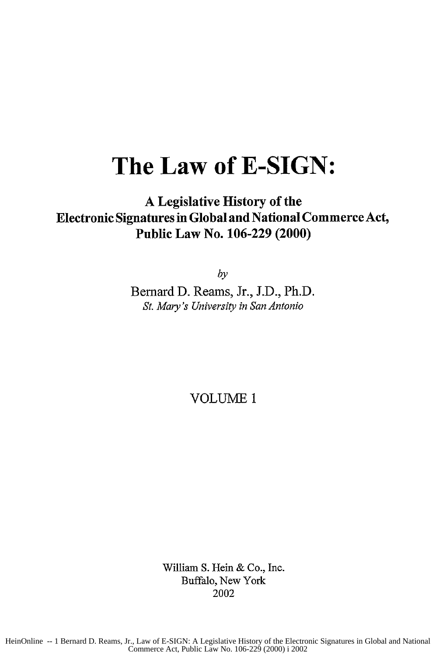## **The Law of E-SIGN:**

## **A** Legislative History of the Electronic Signatures in Global and National Commerce Act, Public Law No. **106-229** (2000)

*by*

Bemard **D.** Reams, Jr., **J.D., Ph.D.** *St. Mary's University in San Antonio*

VOLUME 1

William S. Hein & Co., Inc. Buffalo, New York 2002

HeinOnline -- 1 Bernard D. Reams, Jr., Law of E-SIGN: A Legislative History of the Electronic Signatures in Global and National Commerce Act, Public Law No. 106-229 (2000) i 2002